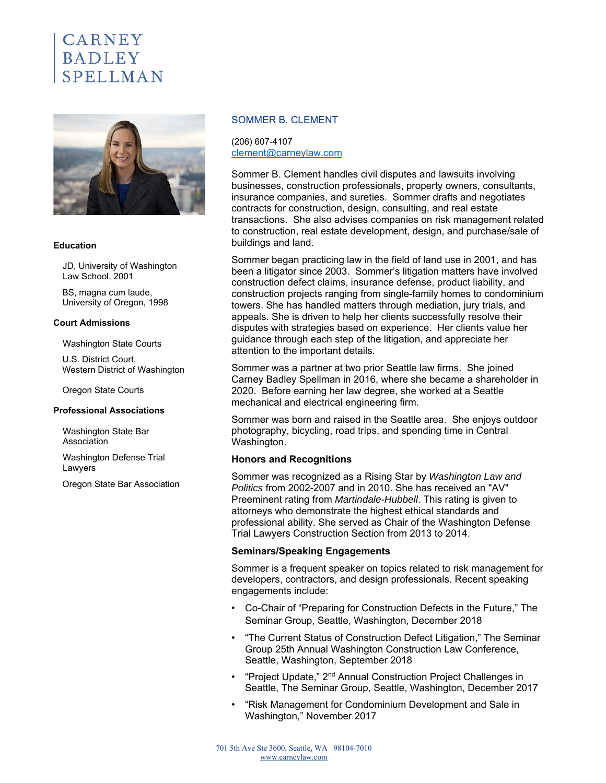# CARNEY **BADLEY**



#### **Education**

JD, University of Washington Law School, 2001

BS, magna cum laude, University of Oregon, 1998

#### **Court Admissions**

Washington State Courts

U.S. District Court, Western District of Washington

Oregon State Courts

#### **Professional Associations**

Washington State Bar Association

Washington Defense Trial Lawyers

Oregon State Bar Association

### SOMMER B. CLEMENT

(206) 607-4107 clement@carneylaw.com

Sommer B. Clement handles civil disputes and lawsuits involving businesses, construction professionals, property owners, consultants, insurance companies, and sureties. Sommer drafts and negotiates contracts for construction, design, consulting, and real estate transactions. She also advises companies on risk management related to construction, real estate development, design, and purchase/sale of buildings and land.

Sommer began practicing law in the field of land use in 2001, and has been a litigator since 2003. Sommer's litigation matters have involved construction defect claims, insurance defense, product liability, and construction projects ranging from single-family homes to condominium towers. She has handled matters through mediation, jury trials, and appeals. She is driven to help her clients successfully resolve their disputes with strategies based on experience. Her clients value her guidance through each step of the litigation, and appreciate her attention to the important details.

Sommer was a partner at two prior Seattle law firms. She joined Carney Badley Spellman in 2016, where she became a shareholder in 2020. Before earning her law degree, she worked at a Seattle mechanical and electrical engineering firm.

Sommer was born and raised in the Seattle area. She enjoys outdoor photography, bicycling, road trips, and spending time in Central Washington.

## **Honors and Recognitions**

Sommer was recognized as a Rising Star by *Washington Law and Politics* from 2002-2007 and in 2010. She has received an "AV" Preeminent rating from *Martindale-Hubbell*. This rating is given to attorneys who demonstrate the highest ethical standards and professional ability. She served as Chair of the Washington Defense Trial Lawyers Construction Section from 2013 to 2014.

#### **Seminars/Speaking Engagements**

Sommer is a frequent speaker on topics related to risk management for developers, contractors, and design professionals. Recent speaking engagements include:

- Co-Chair of "Preparing for Construction Defects in the Future," The Seminar Group, Seattle, Washington, December 2018
- "The Current Status of Construction Defect Litigation," The Seminar Group 25th Annual Washington Construction Law Conference, Seattle, Washington, September 2018
- "Project Update," 2<sup>nd</sup> Annual Construction Project Challenges in Seattle, The Seminar Group, Seattle, Washington, December 2017
- "Risk Management for Condominium Development and Sale in Washington," November 2017